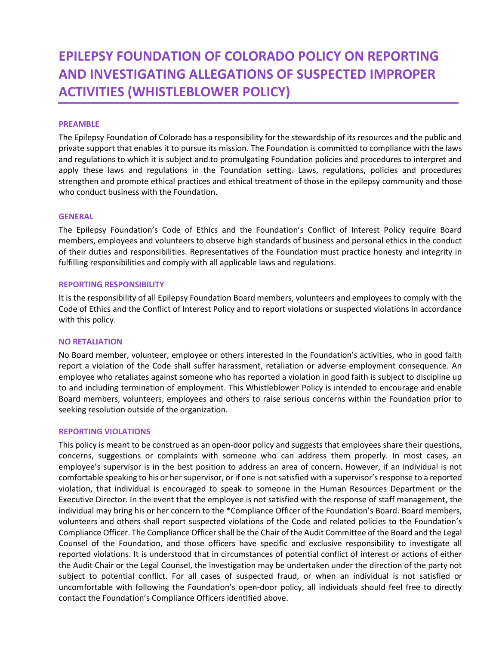# **EPILEPSY FOUNDATION OF COLORADO POLICY ON REPORTING AND INVESTIGATING ALLEGATIONS OF SUSPECTED IMPROPER ACTIVITIES (WHISTLEBLOWER POLICY)**

## **PREAMBLE**

The Epilepsy Foundation of Colorado has a responsibility for the stewardship of its resources and the public and private support that enables it to pursue its mission. The Foundation is committed to compliance with the laws and regulations to which it is subject and to promulgating Foundation policies and procedures to interpret and apply these laws and regulations in the Foundation setting. Laws, regulations, policies and procedures strengthen and promote ethical practices and ethical treatment of those in the epilepsy community and those who conduct business with the Foundation.

#### **GENERAL**

The Epilepsy Foundation's Code of Ethics and the Foundation's Conflict of Interest Policy require Board members, employees and volunteers to observe high standards of business and personal ethics in the conduct of their duties and responsibilities. Representatives of the Foundation must practice honesty and integrity in fulfilling responsibilities and comply with all applicable laws and regulations.

#### **REPORTING RESPONSIBILITY**

It is the responsibility of all Epilepsy Foundation Board members, volunteers and employees to comply with the Code of Ethics and the Conflict of Interest Policy and to report violations or suspected violations in accordance with this policy.

#### **NO RETALIATION**

No Board member, volunteer, employee or others interested in the Foundation's activities, who in good faith report a violation of the Code shall suffer harassment, retaliation or adverse employment consequence. An employee who retaliates against someone who has reported a violation in good faith is subject to discipline up to and including termination of employment. This Whistleblower Policy is intended to encourage and enable Board members, volunteers, employees and others to raise serious concerns within the Foundation prior to seeking resolution outside of the organization.

# **REPORTING VIOLATIONS**

This policy is meant to be construed as an open-door policy and suggests that employees share their questions, concerns, suggestions or complaints with someone who can address them properly. In most cases, an employee's supervisor is in the best position to address an area of concern. However, if an individual is not comfortable speaking to his or her supervisor, or if one is not satisfied with a supervisor's response to a reported violation, that individual is encouraged to speak to someone in the Human Resources Department or the Executive Director. In the event that the employee is not satisfied with the response of staff management, the individual may bring his or her concern to the \*Compliance Officer of the Foundation's Board. Board members, volunteers and others shall report suspected violations of the Code and related policies to the Foundation's Compliance Officer. The Compliance Officer shall be the Chair of the Audit Committee of the Board and the Legal Counsel of the Foundation, and those officers have specific and exclusive responsibility to investigate all reported violations. It is understood that in circumstances of potential conflict of interest or actions of either the Audit Chair or the Legal Counsel, the investigation may be undertaken under the direction of the party not subject to potential conflict. For all cases of suspected fraud, or when an individual is not satisfied or uncomfortable with following the Foundation's open-door policy, all individuals should feel free to directly contact the Foundation's Compliance Officers identified above.